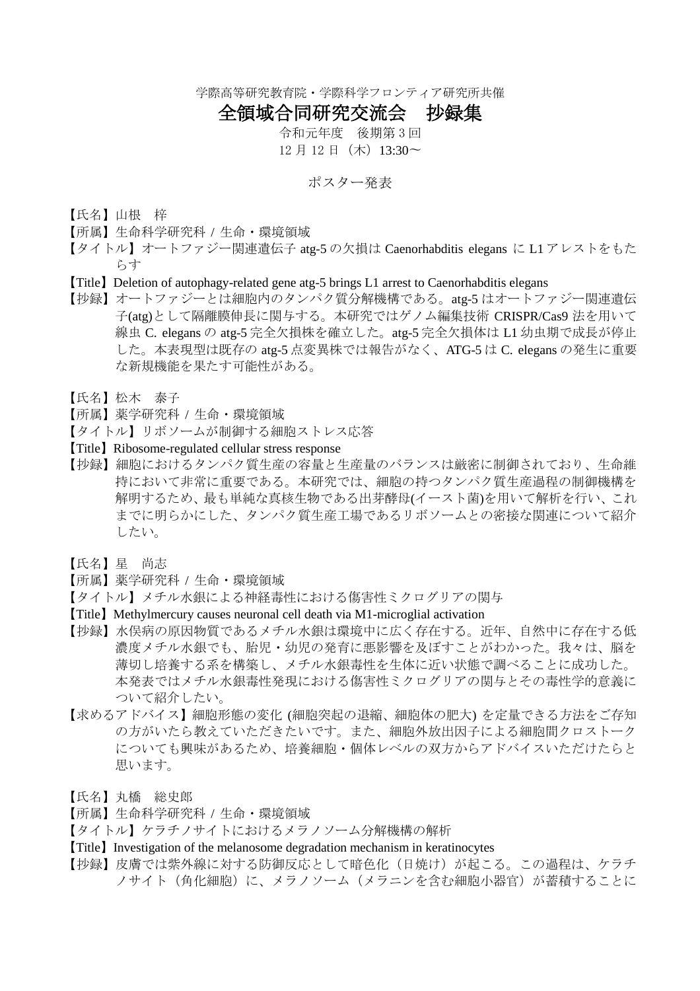学際高等研究教育院・学際科学フロンティア研究所共催

## 全領域合同研究交流会 抄録集

令和元年度 後期第 3 回 12 月 12 日 (木) 13:30~

## ポスター発表

- 【氏名】山根 梓
- 【所属】生命科学研究科 / 生命・環境領域
- 【タイトル】オートファジー関連遺伝子 atg-5 の欠損は Caenorhabditis elegans に L1 アレストをもた らす
- 【Title】Deletion of autophagy-related gene atg-5 brings L1 arrest to Caenorhabditis elegans
- 【抄録】オートファジーとは細胞内のタンパク質分解機構である。atg-5 はオートファジー関連遺伝 子(atg)として隔離膜伸長に関与する。本研究ではゲノム編集技術 CRISPR/Cas9 法を用いて 線虫 C. elegans の atg-5 完全欠損株を確立した。atg-5 完全欠損体は L1 幼虫期で成長が停止 した。本表現型は既存の atg-5 点変異株では報告がなく、ATG-5 は C. elegans の発生に重要 な新規機能を果たす可能性がある。
- 【氏名】松木 泰子
- 【所属】薬学研究科 / 生命・環境領域
- 【タイトル】リボソームが制御する細胞ストレス応答
- 【Title】Ribosome-regulated cellular stress response
- 【抄録】細胞におけるタンパク質生産の容量と生産量のバランスは厳密に制御されており、生命維 持において非常に重要である。本研究では、細胞の持つタンパク質生産過程の制御機構を 解明するため、最も単純な真核生物である出芽酵母(イースト菌)を用いて解析を行い、これ までに明らかにした、タンパク質生産工場であるリボソームとの密接な関連について紹介 したい。
- 【氏名】星 尚志
- 【所属】薬学研究科 / 生命・環境領域
- 【タイトル】メチル水銀による神経毒性における傷害性ミクログリアの関与
- 【Title】Methylmercury causes neuronal cell death via M1-microglial activation
- 【抄録】水俣病の原因物質であるメチル水銀は環境中に広く存在する。近年、自然中に存在する低 濃度メチル水銀でも、胎児・幼児の発育に悪影響を及ぼすことがわかった。我々は、脳を 薄切し培養する系を構築し、メチル水銀毒性を生体に近い状態で調べることに成功した。 本発表ではメチル水銀毒性発現における傷害性ミクログリアの関与とその毒性学的意義に ついて紹介したい。
- 【求めるアドバイス】細胞形態の変化 (細胞突起の退縮、細胞体の肥大) を定量できる方法をご存知 の方がいたら教えていただきたいです。また、細胞外放出因子による細胞間クロストーク についても興味があるため、培養細胞・個体レベルの双方からアドバイスいただけたらと 思います。
- 【氏名】丸橋 総史郎
- 【所属】生命科学研究科 / 生命・環境領域
- 【タイトル】ケラチノサイトにおけるメラノソーム分解機構の解析
- 【Title】Investigation of the melanosome degradation mechanism in keratinocytes
- 【抄録】皮膚では紫外線に対する防御反応として暗色化(日焼け)が起こる。この過程は、ケラチ ノサイト(角化細胞)に、メラノソーム(メラニンを含む細胞小器官)が蓄積することに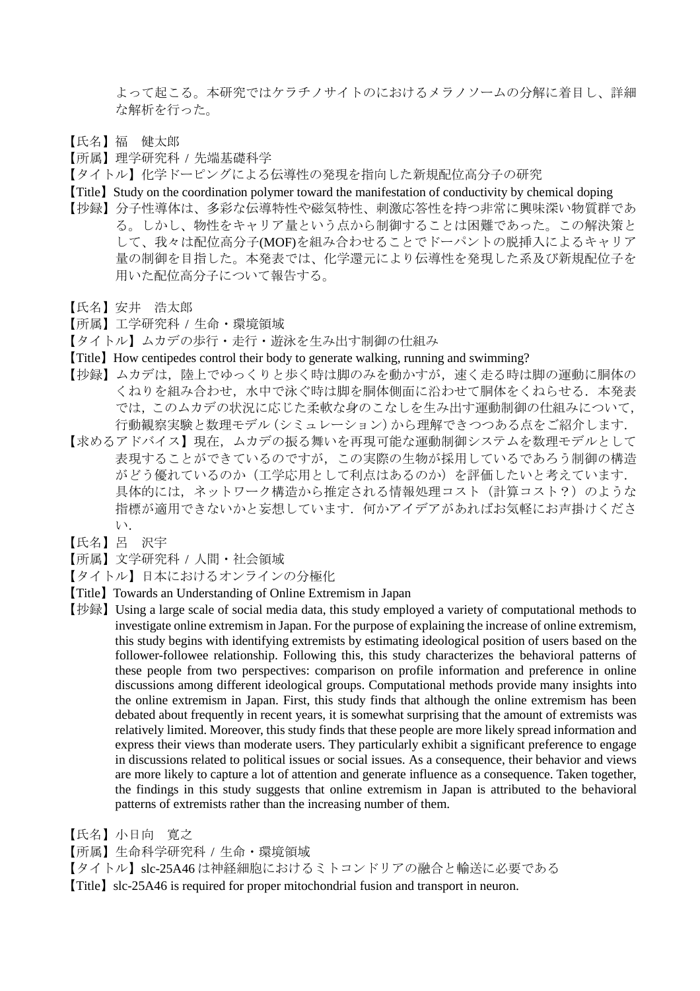よって起こる。本研究ではケラチノサイトのにおけるメラノソームの分解に着目し、詳細 な解析を行った。

- 【氏名】福 健太郎
- 【所属】理学研究科 / 先端基礎科学
- 【タイトル】化学ドーピングによる伝導性の発現を指向した新規配位高分子の研究
- 【Title】Study on the coordination polymer toward the manifestation of conductivity by chemical doping
- 【抄録】分子性導体は、多彩な伝導特性や磁気特性、刺激応答性を持つ非常に興味深い物質群であ る。しかし、物性をキャリア量という点から制御することは困難であった。この解決策と して、我々は配位高分子(MOF)を組み合わせることでドーパントの脱挿入によるキャリア 量の制御を目指した。本発表では、化学還元により伝導性を発現した系及び新規配位子を 用いた配位高分子について報告する。
- 【氏名】安井 浩太郎
- 【所属】工学研究科 / 生命・環境領域
- 【タイトル】ムカデの歩行・走行・遊泳を生み出す制御の仕組み
- 【Title】How centipedes control their body to generate walking, running and swimming?
- 【抄録】ムカデは,陸上でゆっくりと歩く時は脚のみを動かすが,速く走る時は脚の運動に胴体の くねりを組み合わせ、水中で泳ぐ時は脚を胴体側面に沿わせて胴体をくねらせる. 本発表 では,このムカデの状況に応じた柔軟な身のこなしを生み出す運動制御の仕組みについて, 行動観察実験と数理モデル(シミュレーション)から理解できつつある点をご紹介します.
- 【求めるアドバイス】現在,ムカデの振る舞いを再現可能な運動制御システムを数理モデルとして 表現することができているのですが,この実際の生物が採用しているであろう制御の構造 がどう優れているのか(工学応用として利点はあるのか)を評価したいと考えています. 具体的には、ネットワーク構造から推定される情報処理コスト(計算コスト?)のような 指標が適用できないかと妄想しています.何かアイデアがあればお気軽にお声掛けくださ い.
- 【氏名】呂 沢宇
- 【所属】文学研究科 / 人間・社会領域
- 【タイトル】日本におけるオンラインの分極化
- 【Title】Towards an Understanding of Online Extremism in Japan
- 【抄録】Using a large scale of social media data, this study employed a variety of computational methods to investigate online extremism in Japan. For the purpose of explaining the increase of online extremism, this study begins with identifying extremists by estimating ideological position of users based on the follower-followee relationship. Following this, this study characterizes the behavioral patterns of these people from two perspectives: comparison on profile information and preference in online discussions among different ideological groups. Computational methods provide many insights into the online extremism in Japan. First, this study finds that although the online extremism has been debated about frequently in recent years, it is somewhat surprising that the amount of extremists was relatively limited. Moreover, this study finds that these people are more likely spread information and express their views than moderate users. They particularly exhibit a significant preference to engage in discussions related to political issues or social issues. As a consequence, their behavior and views are more likely to capture a lot of attention and generate influence as a consequence. Taken together, the findings in this study suggests that online extremism in Japan is attributed to the behavioral patterns of extremists rather than the increasing number of them.
- 【氏名】小日向 寛之
- 【所属】生命科学研究科 / 生命・環境領域

【タイトル】slc-25A46 は神経細胞におけるミトコンドリアの融合と輸送に必要である

【Title】slc-25A46 is required for proper mitochondrial fusion and transport in neuron.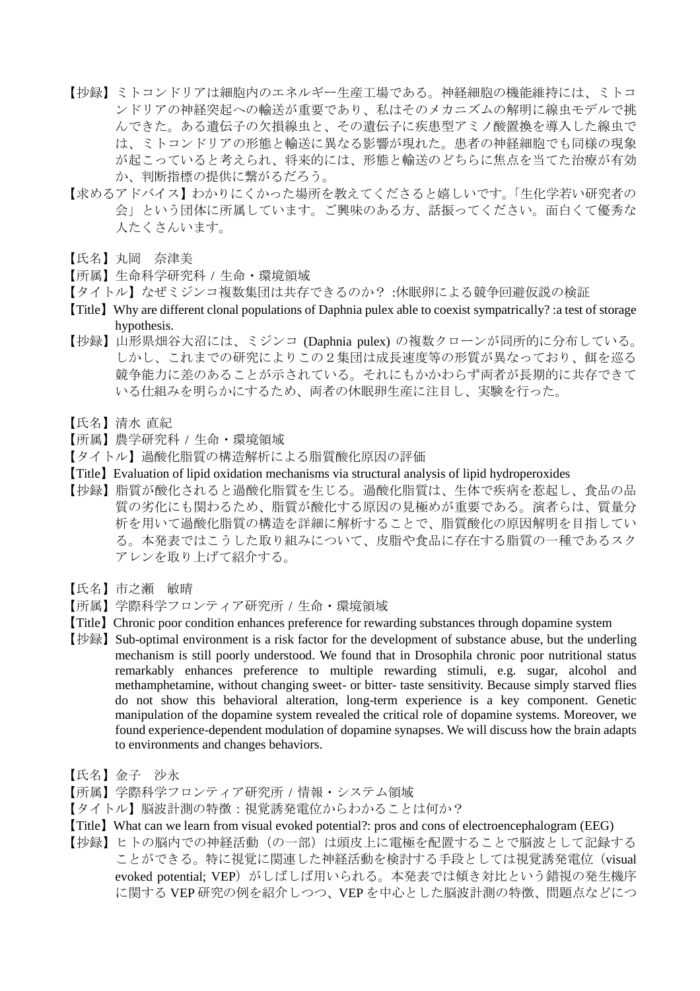- 【抄録】ミトコンドリアは細胞内のエネルギー生産工場である。神経細胞の機能維持には、ミトコ ンドリアの神経突起への輸送が重要であり、私はそのメカニズムの解明に線虫モデルで挑 んできた。ある遺伝子の欠損線虫と、その遺伝子に疾患型アミノ酸置換を導入した線虫で は、ミトコンドリアの形態と輸送に異なる影響が現れた。患者の神経細胞でも同様の現象 が起こっていると考えられ、将来的には、形態と輸送のどちらに焦点を当てた治療が有効 か、判断指標の提供に繋がるだろう。
- 【求めるアドバイス】わかりにくかった場所を教えてくださると嬉しいです。「生化学若い研究者の 会」という団体に所属しています。ご興味のある方、話振ってください。面白くて優秀な 人たくさんいます。
- 【氏名】丸岡 奈津美
- 【所属】生命科学研究科 / 生命・環境領域
- 【タイトル】なぜミジンコ複数集団は共存できるのか? :休眠卵による競争回避仮説の検証
- 【Title】Why are different clonal populations of Daphnia pulex able to coexist sympatrically? :a test of storage hypothesis.
- 【抄録】山形県畑谷大沼には、ミジンコ (Daphnia pulex) の複数クローンが同所的に分布している。 しかし、これまでの研究によりこの2集団は成長速度等の形質が異なっており、餌を巡る 競争能力に差のあることが示されている。それにもかかわらず両者が長期的に共存できて いる仕組みを明らかにするため、両者の休眠卵生産に注目し、実験を行った。
- 【氏名】清水 直紀
- 【所属】農学研究科 / 生命・環境領域
- 【タイトル】過酸化脂質の構造解析による脂質酸化原因の評価
- 【Title】Evaluation of lipid oxidation mechanisms via structural analysis of lipid hydroperoxides
- 【抄録】脂質が酸化されると過酸化脂質を生じる。過酸化脂質は、生体で疾病を惹起し、食品の品 質の劣化にも関わるため、脂質が酸化する原因の見極めが重要である。演者らは、質量分 析を用いて過酸化脂質の構造を詳細に解析することで、脂質酸化の原因解明を目指してい る。本発表ではこうした取り組みについて、皮脂や食品に存在する脂質の一種であるスク アレンを取り上げて紹介する。
- 【氏名】市之瀬 敏晴
- 【所属】学際科学フロンティア研究所 / 生命・環境領域
- 【Title】Chronic poor condition enhances preference for rewarding substances through dopamine system
- 【抄録】Sub-optimal environment is a risk factor for the development of substance abuse, but the underling mechanism is still poorly understood. We found that in Drosophila chronic poor nutritional status remarkably enhances preference to multiple rewarding stimuli, e.g. sugar, alcohol and methamphetamine, without changing sweet- or bitter- taste sensitivity. Because simply starved flies do not show this behavioral alteration, long-term experience is a key component. Genetic manipulation of the dopamine system revealed the critical role of dopamine systems. Moreover, we found experience-dependent modulation of dopamine synapses. We will discuss how the brain adapts to environments and changes behaviors.
- 【氏名】金子 沙永
- 【所属】学際科学フロンティア研究所 / 情報・システム領域
- 【タイトル】脳波計測の特徴:視覚誘発電位からわかることは何か?
- 【Title】What can we learn from visual evoked potential?: pros and cons of electroencephalogram (EEG)
- 【抄録】ヒトの脳内での神経活動(の一部)は頭皮上に電極を配置することで脳波として記録する ことができる。特に視覚に関連した神経活動を検討する手段としては視覚誘発電位(visual evoked potential; VEP) がしばしば用いられる。本発表では傾き対比という錯視の発生機序 に関する VEP 研究の例を紹介しつつ、VEP を中心とした脳波計測の特徴、問題点などにつ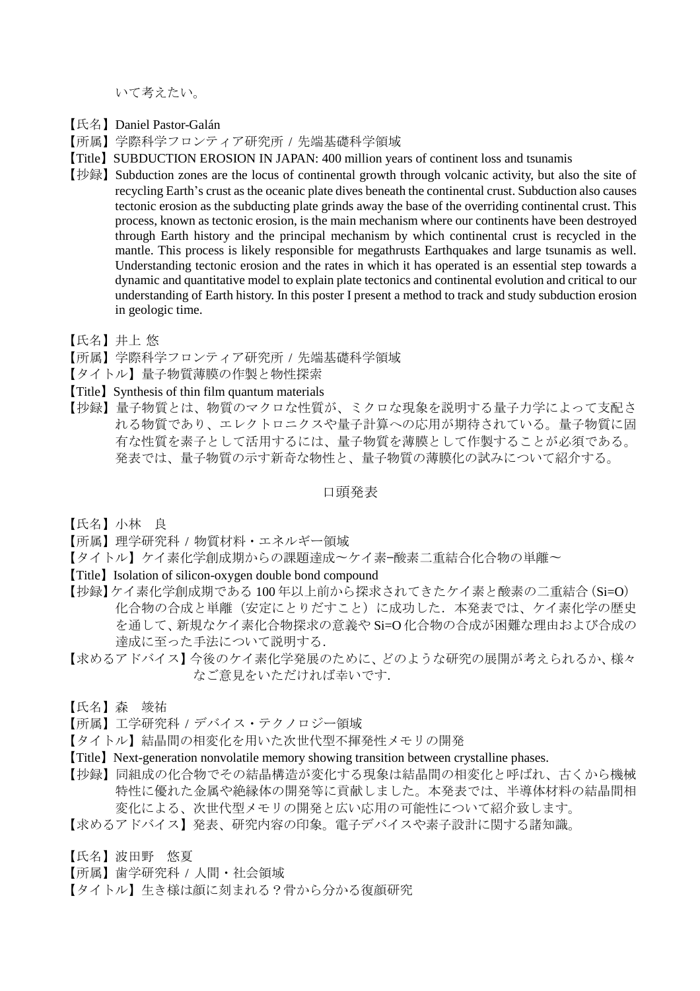いて考えたい。

- 【氏名】Daniel Pastor-Galán
- 【所属】学際科学フロンティア研究所 / 先端基礎科学領域
- 【Title】SUBDUCTION EROSION IN JAPAN: 400 million years of continent loss and tsunamis
- 【抄録】Subduction zones are the locus of continental growth through volcanic activity, but also the site of recycling Earth's crust as the oceanic plate dives beneath the continental crust. Subduction also causes tectonic erosion as the subducting plate grinds away the base of the overriding continental crust. This process, known as tectonic erosion, is the main mechanism where our continents have been destroyed through Earth history and the principal mechanism by which continental crust is recycled in the mantle. This process is likely responsible for megathrusts Earthquakes and large tsunamis as well. Understanding tectonic erosion and the rates in which it has operated is an essential step towards a dynamic and quantitative model to explain plate tectonics and continental evolution and critical to our understanding of Earth history. In this poster I present a method to track and study subduction erosion in geologic time.
- 【氏名】井上 悠
- 【所属】学際科学フロンティア研究所 / 先端基礎科学領域
- 【タイトル】量子物質薄膜の作製と物性探索
- 【Title】Synthesis of thin film quantum materials
- 【抄録】量子物質とは、物質のマクロな性質が、ミクロな現象を説明する量子力学によって支配さ れる物質であり、エレクトロニクスや量子計算への応用が期待されている。量子物質に固 有な性質を素子として活用するには、量子物質を薄膜として作製することが必須である。 発表では、量子物質の示す新奇な物性と、量子物質の薄膜化の試みについて紹介する。

口頭発表

- 【氏名】小林 良
- 【所属】理学研究科 / 物質材料・エネルギー領域
- 【タイトル】ケイ素化学創成期からの課題達成〜ケイ素—酸素二重結合化合物の単離〜
- 【Title】Isolation of silicon-oxygen double bond compound
- 【抄録】ケイ素化学創成期である 100 年以上前から探求されてきたケイ素と酸素の二重結合(Si=O) 化合物の合成と単離(安定にとりだすこと)に成功した.本発表では、ケイ素化学の歴史 を通して、新規なケイ素化合物探求の意義や Si=O 化合物の合成が困難な理由および合成の 達成に至った手法について説明する.
- 【求めるアドバイス】今後のケイ素化学発展のために、どのような研究の展開が考えられるか、様々 なご意見をいただければ幸いです.
- 【氏名】森 竣祐
- 【所属】工学研究科 / デバイス・テクノロジー領域
- 【タイトル】結晶間の相変化を用いた次世代型不揮発性メモリの開発
- 【Title】Next-generation nonvolatile memory showing transition between crystalline phases.
- 【抄録】同組成の化合物でその結晶構造が変化する現象は結晶間の相変化と呼ばれ、古くから機械 特性に優れた金属や絶縁体の開発等に貢献しました。本発表では、半導体材料の結晶間相 変化による、次世代型メモリの開発と広い応用の可能性について紹介致します。
- 【求めるアドバイス】発表、研究内容の印象。電子デバイスや素子設計に関する諸知識。
- 【氏名】波田野 悠夏
- 【所属】歯学研究科 / 人間・社会領域
- 【タイトル】生き様は顔に刻まれる?骨から分かる復顔研究